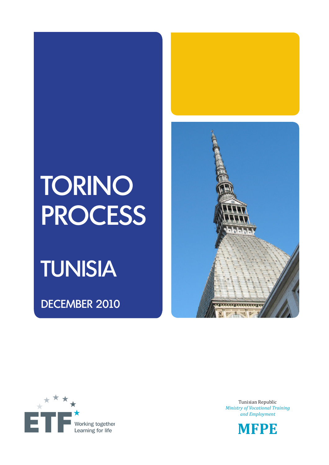# TORINO PROCESS

## TUNISIA

DECEMBER 2010





Tunisian Republic *Ministry of Vocational Training and Employment*

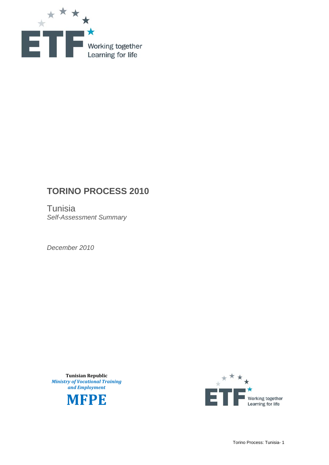

## **TORINO PROCESS 2010**

**Tunisia** *Self-Assessment Summary* 

*December 2010* 

**Tunisian Republic** *Ministry of Vocational Training and Employment*



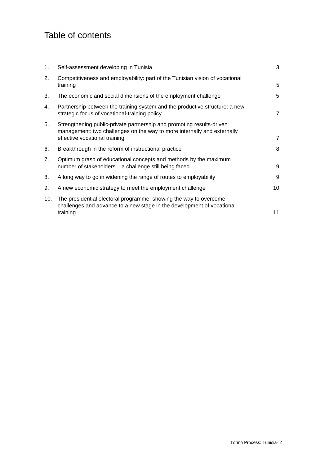## Table of contents

| 1.             | Self-assessment developing in Tunisia                                                                                                                                             | 3              |
|----------------|-----------------------------------------------------------------------------------------------------------------------------------------------------------------------------------|----------------|
| 2.             | Competitiveness and employability: part of the Tunisian vision of vocational<br>training                                                                                          | 5              |
| 3.             | The economic and social dimensions of the employment challenge                                                                                                                    | 5              |
| 4.             | Partnership between the training system and the productive structure: a new<br>strategic focus of vocational-training policy                                                      | $\overline{7}$ |
| 5.             | Strengthening public-private partnership and promoting results-driven<br>management: two challenges on the way to more internally and externally<br>effective vocational training | $\overline{7}$ |
| 6.             | Breakthrough in the reform of instructional practice                                                                                                                              | 8              |
| 7 <sub>1</sub> | Optimum grasp of educational concepts and methods by the maximum<br>number of stakeholders - a challenge still being faced                                                        | 9              |
| 8.             | A long way to go in widening the range of routes to employability                                                                                                                 | 9              |
| 9.             | A new economic strategy to meet the employment challenge                                                                                                                          | 10             |
| 10.            | The presidential electoral programme: showing the way to overcome<br>challenges and advance to a new stage in the development of vocational<br>training                           | 11             |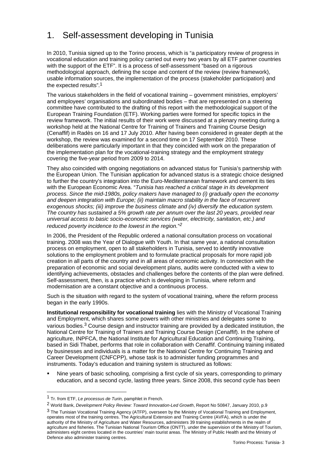#### 1. Self-assessment developing in Tunisia

In 2010, Tunisia signed up to the Torino process, which is "a participatory review of progress in vocational education and training policy carried out every two years by all ETF partner countries with the support of the ETF". It is a process of self-assessment "based on a rigorous methodological approach, defining the scope and content of the review (review framework), usable information sources, the implementation of the process (stakeholder participation) and the expected results".1

The various stakeholders in the field of vocational training – government ministries, employers' and employees' organisations and subordinated bodies – that are represented on a steering committee have contributed to the drafting of this report with the methodological support of the European Training Foundation (ETF). Working parties were formed for specific topics in the review framework. The initial results of their work were discussed at a plenary meeting during a workshop held at the National Centre for Training of Trainers and Training Course Design (Cenaffif) in Radès on 16 and 17 July 2010. After having been considered in greater depth at the workshop, the review was examined for a second time on 17 September 2010. These deliberations were particularly important in that they coincided with work on the preparation of the implementation plan for the vocational-training strategy and the employment strategy covering the five-year period from 2009 to 2014.

They also coincided with ongoing negotiations on advanced status for Tunisia's partnership with the European Union. The Tunisian application for advanced status is a strategic choice designed to further the country's integration into the Euro-Mediterranean framework and cement its ties with the European Economic Area. "*Tunisia has reached a critical stage in its development process. Since the mid-1980s, policy makers have managed to (i) gradually open the economy and deepen integration with Europe; (ii) maintain macro stability in the face of recurrent exogenous shocks; (iii) improve the business climate and (iv) diversify the education system. The country has sustained a 5% growth rate per annum over the last 20 years, provided near universal access to basic socio-economic services (water, electricity, sanitation, etc.) and reduced poverty incidence to the lowest in the region.*"*2*

In 2006, the President of the Republic ordered a national consultation process on vocational training. 2008 was the Year of Dialogue with Youth. In that same year, a national consultation process on employment, open to all stakeholders in Tunisia, served to identify innovative solutions to the employment problem and to formulate practical proposals for more rapid job creation in all parts of the country and in all areas of economic activity. In connection with the preparation of economic and social development plans, audits were conducted with a view to identifying achievements, obstacles and challenges before the contents of the plan were defined. Self-assessment, then, is a practice which is developing in Tunisia, where reform and modernisation are a constant objective and a continuous process.

Such is the situation with regard to the system of vocational training, where the reform process began in the early 1990s.

**Institutional responsibility for vocational training** lies with the Ministry of Vocational Training and Employment, which shares some powers with other ministries and delegates some to various bodies.3 Course design and instructor training are provided by a dedicated institution, the National Centre for Training of Trainers and Training Course Design (Cenaffif). In the sphere of agriculture, INPFCA, the National Institute for Agricultural Education and Continuing Training, based in Sidi Thabet, performs that role in collaboration with Cenaffif. Continuing training initiated by businesses and individuals is a matter for the National Centre for Continuing Training and Career Development (CNFCPP), whose task is to administer funding programmes and instruments. Today's education and training system is structured as follows:

 Nine years of basic schooling, comprising a first cycle of six years, corresponding to primary education, and a second cycle, lasting three years. Since 2008, this second cycle has been

<sup>1</sup> Tr. from ETF, *Le processus de Turin*, pamphlet in French.

<sup>2</sup> World Bank, *Development Policy Review: Toward Innovation-Led Growth*, Report No 50847, January 2010, p.9

<sup>3</sup> The Tunisian Vocational Training Agency (ATFP), overseen by the Ministry of Vocational Training and Employment, operates most of the training centres. The Agricultural Extension and Training Centre (AVFA), which is under the authority of the Ministry of Agriculture and Water Resources, administers 39 training establishments in the realm of agriculture and fisheries. The Tunisian National Tourism Office (ONTT), under the supervision of the Ministry of Tourism, administers eight centres located in the countries' main tourist areas. The Ministry of Public Health and the Ministry of Defence also administer training centres.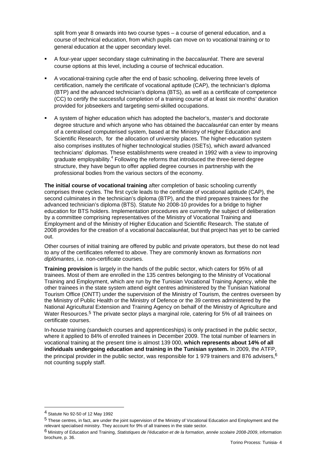split from year 8 onwards into two course types – a course of general education, and a course of technical education, from which pupils can move on to vocational training or to general education at the upper secondary level.

- A four-year upper secondary stage culminating in the *baccalauréat*. There are several course options at this level, including a course of technical education.
- A vocational-training cycle after the end of basic schooling, delivering three levels of certification, namely the certificate of vocational aptitude (CAP), the technician's diploma (BTP) and the advanced technician's diploma (BTS), as well as a certificate of competence (CC) to certify the successful completion of a training course of at least six months' duration provided for jobseekers and targeting semi-skilled occupations.
- A system of higher education which has adopted the bachelor's, master's and doctorate degree structure and which anyone who has obtained the *baccalauréat* can enter by means of a centralised computerised system, based at the Ministry of Higher Education and Scientific Research, for the allocation of university places. The higher-education system also comprises institutes of higher technological studies (ISETs), which award advanced technicians' diplomas. These establishments were created in 1992 with a view to improving graduate employability.<sup>4</sup> Following the reforms that introduced the three-tiered degree structure, they have begun to offer applied degree courses in partnership with the professional bodies from the various sectors of the economy.

**The initial course of vocational training** after completion of basic schooling currently comprises three cycles. The first cycle leads to the certificate of vocational aptitude (CAP), the second culminates in the technician's diploma (BTP), and the third prepares trainees for the advanced technician's diploma (BTS). Statute No 2008-10 provides for a bridge to higher education for BTS holders. Implementation procedures are currently the subject of deliberation by a committee comprising representatives of the Ministry of Vocational Training and Employment and of the Ministry of Higher Education and Scientific Research. The statute of 2008 provides for the creation of a vocational *baccalauréat*, but that project has yet to be carried out.

Other courses of initial training are offered by public and private operators, but these do not lead to any of the certificates referred to above. They are commonly known as *formations non diplômantes*, i.e. non-certificate courses.

**Training provision** is largely in the hands of the public sector, which caters for 95% of all trainees. Most of them are enrolled in the 135 centres belonging to the Ministry of Vocational Training and Employment, which are run by the Tunisian Vocational Training Agency, while the other trainees in the state system attend eight centres administered by the Tunisian National Tourism Office (ONTT) under the supervision of the Ministry of Tourism, the centres overseen by the Ministry of Public Health or the Ministry of Defence or the 39 centres administered by the National Agricultural Extension and Training Agency on behalf of the Ministry of Agriculture and Water Resources.<sup>5</sup> The private sector plays a marginal role, catering for 5% of all trainees on certificate courses.

In-house training (sandwich courses and apprenticeships) is only practised in the public sector, where it applied to 84% of enrolled trainees in December 2009. The total number of learners in vocational training at the present time is almost 139 000, **which represents about 14% of all individuals undergoing education and training in the Tunisian system.** In 2009, the ATFP, the principal provider in the public sector, was responsible for 1 979 trainers and 876 advisers,  $6$ not counting supply staff.

<sup>4</sup> Statute No 92-50 of 12 May 1992

<sup>5</sup> These centres, in fact, are under the joint supervision of the Ministry of Vocational Education and Employment and the relevant specialised ministry. They account for 9% of all trainees in the state sector.

<sup>6</sup> Ministry of Education and Training, *Statistiques de l'éducation et de la formation, année scolaire 2008-2009*, information brochure, p. 36.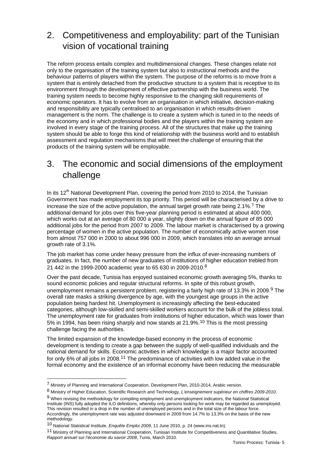#### 2. Competitiveness and employability: part of the Tunisian vision of vocational training

The reform process entails complex and multidimensional changes. These changes relate not only to the organisation of the training system but also to instructional methods and the behaviour patterns of players within the system. The purpose of the reforms is to move from a system that is entirely detached from the productive structure to a system that is receptive to its environment through the development of effective partnership with the business world. The training system needs to become highly responsive to the changing skill requirements of economic operators. It has to evolve from an organisation in which initiative, decision-making and responsibility are typically centralised to an organisation in which results-driven management is the norm. The challenge is to create a system which is tuned in to the needs of the economy and in which professional bodies and the players within the training system are involved in every stage of the training process. All of the structures that make up the training system should be able to forge this kind of relationship with the business world and to establish assessment and regulation mechanisms that will meet the challenge of ensuring that the products of the training system will be employable.

#### 3. The economic and social dimensions of the employment challenge

In its 12<sup>th</sup> National Development Plan, covering the period from 2010 to 2014, the Tunisian Government has made employment its top priority. This period will be characterised by a drive to increase the size of the active population, the annual target growth rate being 2.1%.<sup>7</sup> The additional demand for jobs over this five-year planning period is estimated at about 400 000, which works out at an average of 80 000 a year, slightly down on the annual figure of 85 000 additional jobs for the period from 2007 to 2009. The labour market is characterised by a growing percentage of women in the active population. The number of economically active women rose from almost 757 000 in 2000 to about 996 000 in 2009, which translates into an average annual growth rate of 3.1%.

The job market has come under heavy pressure from the influx of ever-increasing numbers of graduates. In fact, the number of new graduates of institutions of higher education trebled from 21 442 in the 1999-2000 academic year to 65 630 in 2009-2010.8

Over the past decade, Tunisia has enjoyed sustained economic growth averaging 5%, thanks to sound economic policies and regular structural reforms. In spite of this robust growth, unemployment remains a persistent problem, registering a fairly high rate of 13.3% in 2009.<sup>9</sup> The overall rate masks a striking divergence by age, with the youngest age groups in the active population being hardest hit. Unemployment is increasingly affecting the best-educated categories, although low-skilled and semi-skilled workers account for the bulk of the jobless total. The unemployment rate for graduates from institutions of higher education, which was lower than 5% in 1994, has been rising sharply and now stands at 21.9%.10 This is the most pressing challenge facing the authorities.

The limited expansion of the knowledge-based economy in the process of economic development is tending to create a gap between the supply of well-qualified individuals and the national demand for skills. Economic activities in which knowledge is a major factor accounted for only 6% of all jobs in 2008.11 The predominance of activities with low added value in the formal economy and the existence of an informal economy have been reducing the measurable

<sup>7</sup> Ministry of Planning and International Cooperation, Development Plan, 2010-2014, Arabic version.

<sup>8</sup> Ministry of Higher Education, Scientific Research and Technology, *L'enseignement supérieur en chiffres 2009-2010*.

<sup>9</sup> When revising the methodology for compiling employment and unemployment indicators, the National Statistical Institute (INS) fully adopted the ILO definitions, whereby only persons looking for work may be regarded as unemployed. This revision resulted in a drop in the number of unemployed persons and in the total size of the labour force. Accordingly, the unemployment rate was adjusted downward in 2009 from 14.7% to 13.3% on the basis of the new methodology.

<sup>10</sup> National Statistical Institute, *Enquête Emploi 2009*, 11 June 2010, p. 24 (www.ins.nat.tn).

<sup>11</sup> Ministry of Planning and International Cooperation, Tunisian Institute for Competitiveness and Quantitative Studies, *Rapport annuel sur l'économie du savoir 2008*, Tunis, March 2010.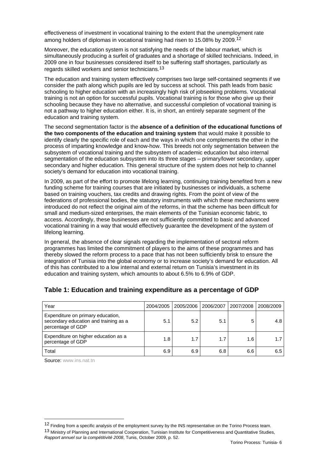effectiveness of investment in vocational training to the extent that the unemployment rate among holders of diplomas in vocational training had risen to 15.08% by 2009.12

Moreover, the education system is not satisfying the needs of the labour market, which is simultaneously producing a surfeit of graduates and a shortage of skilled technicians. Indeed, in 2009 one in four businesses considered itself to be suffering staff shortages, particularly as regards skilled workers and senior technicians.13

The education and training system effectively comprises two large self-contained segments if we consider the path along which pupils are led by success at school. This path leads from basic schooling to higher education with an increasingly high risk of jobseeking problems. Vocational training is not an option for successful pupils. Vocational training is for those who give up their schooling because they have no alternative, and successful completion of vocational training is not a pathway to higher education either. It is, in short, an entirely separate segment of the education and training system.

The second segmentation factor is the **absence of a definition of the educational functions of the two components of the education and training system** that would make it possible to identify clearly the specific role of each and the ways in which one complements the other in the process of imparting knowledge and know-how. This breeds not only segmentation between the subsystem of vocational training and the subsystem of academic education but also internal segmentation of the education subsystem into its three stages – primary/lower secondary, upper secondary and higher education. This general structure of the system does not help to channel society's demand for education into vocational training.

In 2009, as part of the effort to promote lifelong learning, continuing training benefited from a new funding scheme for training courses that are initiated by businesses or individuals, a scheme based on training vouchers, tax credits and drawing rights. From the point of view of the federations of professional bodies, the statutory instruments with which these mechanisms were introduced do not reflect the original aim of the reforms, in that the scheme has been difficult for small and medium-sized enterprises, the main elements of the Tunisian economic fabric, to access. Accordingly, these businesses are not sufficiently committed to basic and advanced vocational training in a way that would effectively guarantee the development of the system of lifelong learning.

In general, the absence of clear signals regarding the implementation of sectoral reform programmes has limited the commitment of players to the aims of these programmes and has thereby slowed the reform process to a pace that has not been sufficiently brisk to ensure the integration of Tunisia into the global economy or to increase society's demand for education. All of this has contributed to a low internal and external return on Tunisia's investment in its education and training system, which amounts to about 6.5% to 6.9% of GDP.

| Year                                                                                            | 2004/2005 | 2005/2006 | 2006/2007 | 2007/2008 | 2008/2009 |
|-------------------------------------------------------------------------------------------------|-----------|-----------|-----------|-----------|-----------|
| Expenditure on primary education,<br>secondary education and training as a<br>percentage of GDP | 5.1       | 5.2       | 5.1       |           | 4.8       |
| Expenditure on higher education as a<br>percentage of GDP                                       | 1.8       | 1.7       | 1.7       | 1.6       | 1.7       |
| Total                                                                                           | 6.9       | 6.9       | 6.8       | 6.6       | 6.5       |

#### **Table 1: Education and training expenditure as a percentage of GDP**

Source: www.ins.nat.tn

<sup>12</sup> Finding from a specific analysis of the employment survey by the INS representative on the Torino Process team. 13 Ministry of Planning and International Cooperation, Tunisian Institute for Competitiveness and Quantitative Studies, *Rapport annuel sur la compétitivité 2008*, Tunis, October 2009, p. 52.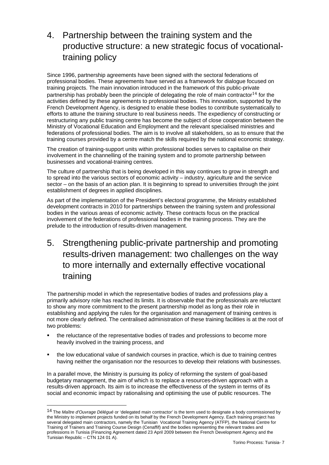## 4. Partnership between the training system and the productive structure: a new strategic focus of vocationaltraining policy

Since 1996, partnership agreements have been signed with the sectoral federations of professional bodies. These agreements have served as a framework for dialogue focused on training projects. The main innovation introduced in the framework of this public-private partnership has probably been the principle of delegating the role of main contractor<sup>14</sup> for the activities defined by these agreements to professional bodies. This innovation, supported by the French Development Agency, is designed to enable these bodies to contribute systematically to efforts to attune the training structure to real business needs. The expediency of constructing or restructuring any public training centre has become the subject of close cooperation between the Ministry of Vocational Education and Employment and the relevant specialised ministries and federations of professional bodies. The aim is to involve all stakeholders, so as to ensure that the training courses provided by a centre match the skills required by the national economic strategy.

The creation of training-support units within professional bodies serves to capitalise on their involvement in the channelling of the training system and to promote partnership between businesses and vocational-training centres.

The culture of partnership that is being developed in this way continues to grow in strength and to spread into the various sectors of economic activity – industry, agriculture and the service sector – on the basis of an action plan. It is beginning to spread to universities through the joint establishment of degrees in applied disciplines.

As part of the implementation of the President's electoral programme, the Ministry established development contracts in 2010 for partnerships between the training system and professional bodies in the various areas of economic activity. These contracts focus on the practical involvement of the federations of professional bodies in the training process. They are the prelude to the introduction of results-driven management.

5. Strengthening public-private partnership and promoting results-driven management: two challenges on the way to more internally and externally effective vocational training

The partnership model in which the representative bodies of trades and professions play a primarily advisory role has reached its limits. It is observable that the professionals are reluctant to show any more commitment to the present partnership model as long as their role in establishing and applying the rules for the organisation and management of training centres is not more clearly defined. The centralised administration of these training facilities is at the root of two problems:

- the reluctance of the representative bodies of trades and professions to become more heavily involved in the training process, and
- the low educational value of sandwich courses in practice, which is due to training centres having neither the organisation nor the resources to develop their relations with businesses.

In a parallel move, the Ministry is pursuing its policy of reforming the system of goal-based budgetary management, the aim of which is to replace a resources-driven approach with a results-driven approach. Its aim is to increase the effectiveness of the system in terms of its social and economic impact by rationalising and optimising the use of public resources. The

<sup>14</sup> The *Maître d'Ouvrage Délégué* or 'delegated main contractor' is the term used to designate a body commissioned by the Ministry to implement projects funded on its behalf by the French Development Agency. Each training project has several delegated main contractors, namely the Tunisian Vocational Training Agency (ATFP), the National Centre for Training of Trainers and Training Course Design (Cenaffif) and the bodies representing the relevant trades and professions in Tunisia (Financing Agreement dated 23 April 2009 between the French Development Agency and the .<br>Tunisian Republic – CTN 124 01 A).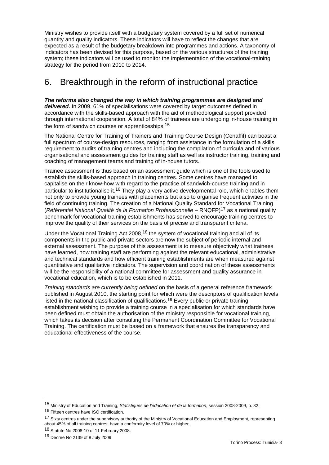Ministry wishes to provide itself with a budgetary system covered by a full set of numerical quantity and quality indicators. These indicators will have to reflect the changes that are expected as a result of the budgetary breakdown into programmes and actions. A taxonomy of indicators has been devised for this purpose, based on the various structures of the training system; these indicators will be used to monitor the implementation of the vocational-training strategy for the period from 2010 to 2014.

#### 6. Breakthrough in the reform of instructional practice

*The reforms also changed the way in which training programmes are designed and delivered.* In 2009, 61% of specialisations were covered by target outcomes defined in accordance with the skills-based approach with the aid of methodological support provided through international cooperation. A total of 84% of trainees are undergoing in-house training in the form of sandwich courses or apprenticeships.15

The National Centre for Training of Trainers and Training Course Design (Cenaffif) can boast a full spectrum of course-design resources, ranging from assistance in the formulation of a skills requirement to audits of training centres and including the compilation of curricula and of various organisational and assessment guides for training staff as well as instructor training, training and coaching of management teams and training of in-house tutors.

Trainee assessment is thus based on an assessment guide which is one of the tools used to establish the skills-based approach in training centres. Some centres have managed to capitalise on their know-how with regard to the practice of sandwich-course training and in particular to institutionalise it.16 They play a very active developmental role, which enables them not only to provide young trainees with placements but also to organise frequent activities in the field of continuing training. The creation of a National Quality Standard for Vocational Training (*Référentiel National Qualité de la Formation Professionnelle* – RNQFP)17 as a national quality benchmark for vocational-training establishments has served to encourage training centres to improve the quality of their services on the basis of precise and transparent criteria.

Under the Vocational Training Act 2008,18 the system of vocational training and all of its components in the public and private sectors are now the subject of periodic internal and external assessment. The purpose of this assessment is to measure objectively what trainees have learned, how training staff are performing against the relevant educational, administrative and technical standards and how efficient training establishments are when measured against quantitative and qualitative indicators. The supervision and coordination of these assessments will be the responsibility of a national committee for assessment and quality assurance in vocational education, which is to be established in 2011.

*Training standards are currently being defined* on the basis of a general reference framework published in August 2010, the starting point for which were the descriptors of qualification levels listed in the national classification of qualifications.19 Every public or private training establishment wishing to provide a training course in a specialisation for which standards have been defined must obtain the authorisation of the ministry responsible for vocational training, which takes its decision after consulting the Permanent Coordination Committee for Vocational Training. The certification must be based on a framework that ensures the transparency and educational effectiveness of the course.

<sup>15</sup> Ministry of Education and Training, *Statistiques de l'éducation et de la formation*, session 2008-2009, p. 32.

<sup>16</sup> Fifteen centres have ISO certification.

<sup>17</sup> Sixty centres under the supervisory authority of the Ministry of Vocational Education and Employment, representing about 45% of all training centres, have a conformity level of 70% or higher.

<sup>18</sup> Statute No 2008-10 of 11 February 2008.

<sup>19</sup> Decree No 2139 of 8 July 2009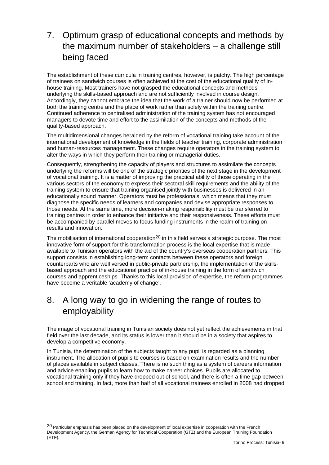## 7. Optimum grasp of educational concepts and methods by the maximum number of stakeholders – a challenge still being faced

The establishment of these curricula in training centres, however, is patchy. The high percentage of trainees on sandwich courses is often achieved at the cost of the educational quality of inhouse training. Most trainers have not grasped the educational concepts and methods underlying the skills-based approach and are not sufficiently involved in course design. Accordingly, they cannot embrace the idea that the work of a trainer should now be performed at both the training centre and the place of work rather than solely within the training centre. Continued adherence to centralised administration of the training system has not encouraged managers to devote time and effort to the assimilation of the concepts and methods of the quality-based approach.

The multidimensional changes heralded by the reform of vocational training take account of the international development of knowledge in the fields of teacher training, corporate administration and human-resources management. These changes require operators in the training system to alter the ways in which they perform their training or managerial duties.

Consequently, strengthening the capacity of players and structures to assimilate the concepts underlying the reforms will be one of the strategic priorities of the next stage in the development of vocational training. It is a matter of improving the practical ability of those operating in the various sectors of the economy to express their sectoral skill requirements and the ability of the training system to ensure that training organised jointly with businesses is delivered in an educationally sound manner. Operators must be professionals, which means that they must diagnose the specific needs of learners and companies and devise appropriate responses to those needs. At the same time, more decision-making responsibility must be transferred to training centres in order to enhance their initiative and their responsiveness. These efforts must be accompanied by parallel moves to focus funding instruments in the realm of training on results and innovation.

The mobilisation of international cooperation<sup>20</sup> in this field serves a strategic purpose. The most innovative form of support for this transformation process is the local expertise that is made available to Tunisian operators with the aid of the country's overseas cooperation partners. This support consists in establishing long-term contacts between these operators and foreign counterparts who are well versed in public-private partnership, the implementation of the skillsbased approach and the educational practice of in-house training in the form of sandwich courses and apprenticeships. Thanks to this local provision of expertise, the reform programmes have become a veritable 'academy of change'.

#### 8. A long way to go in widening the range of routes to employability

The image of vocational training in Tunisian society does not yet reflect the achievements in that field over the last decade, and its status is lower than it should be in a society that aspires to develop a competitive economy.

In Tunisia, the determination of the subjects taught to any pupil is regarded as a planning instrument. The allocation of pupils to courses is based on examination results and the number of places available in subject classes. There is no such thing as a system of careers information and advice enabling pupils to learn how to make career choices. Pupils are allocated to vocational training only if they have dropped out of school, and there is often a time gap between school and training. In fact, more than half of all vocational trainees enrolled in 2008 had dropped

<sup>&</sup>lt;sup>20</sup> Particular emphasis has been placed on the development of local expertise in cooperation with the French Development Agency, the German Agency for Technical Cooperation (GTZ) and the European Training Foundation (ETF).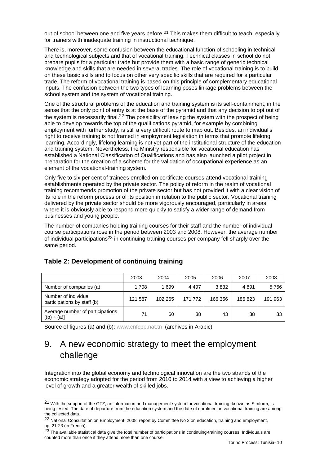out of school between one and five years before.<sup>21</sup> This makes them difficult to teach, especially for trainers with inadequate training in instructional technique.

There is, moreover, some confusion between the educational function of schooling in technical and technological subjects and that of vocational training. Technical classes in school do not prepare pupils for a particular trade but provide them with a basic range of generic technical knowledge and skills that are needed in several trades. The role of vocational training is to build on these basic skills and to focus on other very specific skills that are required for a particular trade. The reform of vocational training is based on this principle of complementary educational inputs. The confusion between the two types of learning poses linkage problems between the school system and the system of vocational training.

One of the structural problems of the education and training system is its self-containment, in the sense that the only point of entry is at the base of the pyramid and that any decision to opt out of the system is necessarily final.<sup>22</sup> The possibility of leaving the system with the prospect of being able to develop towards the top of the qualifications pyramid, for example by combining employment with further study, is still a very difficult route to map out. Besides, an individual's right to receive training is not framed in employment legislation in terms that promote lifelong learning. Accordingly, lifelong learning is not yet part of the institutional structure of the education and training system. Nevertheless, the Ministry responsible for vocational education has established a National Classification of Qualifications and has also launched a pilot project in preparation for the creation of a scheme for the validation of occupational experience as an element of the vocational-training system.

Only five to six per cent of trainees enrolled on certificate courses attend vocational-training establishments operated by the private sector. The policy of reform in the realm of vocational training recommends promotion of the private sector but has not provided it with a clear vision of its role in the reform process or of its position in relation to the public sector. Vocational training delivered by the private sector should be more vigorously encouraged, particularly in areas where it is obviously able to respond more quickly to satisfy a wider range of demand from businesses and young people.

The number of companies holding training courses for their staff and the number of individual course participations rose in the period between 2003 and 2008. However, the average number of individual participations<sup>23</sup> in continuing-training courses per company fell sharply over the same period.

|                                                      | 2003    | 2004    | 2005    | 2006    | 2007   | 2008    |
|------------------------------------------------------|---------|---------|---------|---------|--------|---------|
| Number of companies (a)                              | 1708    | 1699    | 4 4 9 7 | 3832    | 4891   | 5756    |
| Number of individual<br>participations by staff (b)  | 121 587 | 102 265 | 171 772 | 166 356 | 186823 | 191 963 |
| Average number of participations<br>$[(b) \div (a)]$ | 71      | 60      | 38      | 43      | 38     | 33      |

#### **Table 2: Development of continuing training**

l

Source of figures (a) and (b): www.cnfcpp.nat.tn (archives in Arabic)

#### 9. A new economic strategy to meet the employment challenge

Integration into the global economy and technological innovation are the two strands of the economic strategy adopted for the period from 2010 to 2014 with a view to achieving a higher level of growth and a greater wealth of skilled jobs.

<sup>21</sup> With the support of the GTZ, an information and management system for vocational training, known as Simform, is being tested. The date of departure from the education system and the date of enrolment in vocational training are among the collected data.

<sup>22</sup> National Consultation on Employment, 2008: report by Committee No 3 on education, training and employment, pp. 21-23 (in French).

 $^{23}$  The available statistical data give the total number of participations in continuing-training courses. Individuals are counted more than once if they attend more than one course.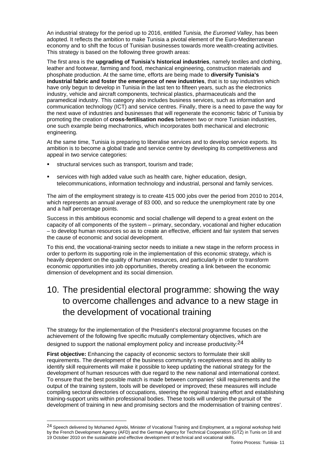An industrial strategy for the period up to 2016, entitled *Tunisia, the Euromed Valley*, has been adopted. It reflects the ambition to make Tunisia a pivotal element of the Euro-Mediterranean economy and to shift the focus of Tunisian businesses towards more wealth-creating activities. This strategy is based on the following three growth areas:

The first area is the **upgrading of Tunisia's historical industries**, namely textiles and clothing, leather and footwear, farming and food, mechanical engineering, construction materials and phosphate production. At the same time, efforts are being made to **diversify Tunisia's industrial fabric and foster the emergence of new industries**, that is to say industries which have only begun to develop in Tunisia in the last ten to fifteen years, such as the electronics industry, vehicle and aircraft components, technical plastics, pharmaceuticals and the paramedical industry. This category also includes business services, such as information and communication technology (ICT) and service centres. Finally, there is a need to pave the way for the next wave of industries and businesses that will regenerate the economic fabric of Tunisia by promoting the creation of **cross-fertilisation nodes** between two or more Tunisian industries, one such example being mechatronics, which incorporates both mechanical and electronic engineering.

At the same time, Tunisia is preparing to liberalise services and to develop service exports. Its ambition is to become a global trade and service centre by developing its competitiveness and appeal in two service categories:

- structural services such as transport, tourism and trade;
- services with high added value such as health care, higher education, design, telecommunications, information technology and industrial, personal and family services.

The aim of the employment strategy is to create 415 000 jobs over the period from 2010 to 2014, which represents an annual average of 83 000, and so reduce the unemployment rate by one and a half percentage points.

Success in this ambitious economic and social challenge will depend to a great extent on the capacity of all components of the system – primary, secondary, vocational and higher education – to develop human resources so as to create an effective, efficient and fair system that serves the cause of economic and social development.

To this end, the vocational-training sector needs to initiate a new stage in the reform process in order to perform its supporting role in the implementation of this economic strategy, which is heavily dependent on the quality of human resources, and particularly in order to transform economic opportunities into job opportunities, thereby creating a link between the economic dimension of development and its social dimension.

#### 10. The presidential electoral programme: showing the way to overcome challenges and advance to a new stage in the development of vocational training

The strategy for the implementation of the President's electoral programme focuses on the achievement of the following five specific mutually complementary objectives, which are designed to support the national employment policy and increase productivity:<sup>24</sup>

**First objective:** Enhancing the capacity of economic sectors to formulate their skill requirements. The development of the business community's receptiveness and its ability to identify skill requirements will make it possible to keep updating the national strategy for the development of human resources with due regard to the new national and international context. To ensure that the best possible match is made between companies' skill requirements and the output of the training system, tools will be developed or improved; these measures will include compiling sectoral directories of occupations, steering the regional training effort and establishing training-support units within professional bodies. These tools will underpin the pursuit of 'the development of training in new and promising sectors and the modernisation of training centres'.

<sup>24</sup> Speech delivered by Mohamed Agrebi, Minister of Vocational Training and Employment, at a regional workshop held by the French Development Agency (AFD) and the German Agency for Technical Cooperation (GTZ) in Tunis on 18 and 19 October 2010 on the sustainable and effective development of technical and vocational skills.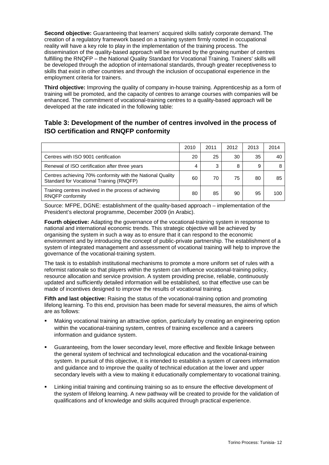**Second objective:** Guaranteeing that learners' acquired skills satisfy corporate demand. The creation of a regulatory framework based on a training system firmly rooted in occupational reality will have a key role to play in the implementation of the training process. The dissemination of the quality-based approach will be ensured by the growing number of centres fulfilling the RNQFP – the National Quality Standard for Vocational Training. Trainers' skills will be developed through the adoption of international standards, through greater receptiveness to skills that exist in other countries and through the inclusion of occupational experience in the employment criteria for trainers.

**Third objective:** Improving the quality of company in-house training. Apprenticeship as a form of training will be promoted, and the capacity of centres to arrange courses with companies will be enhanced. The commitment of vocational-training centres to a quality-based approach will be developed at the rate indicated in the following table:

#### **Table 3: Development of the number of centres involved in the process of ISO certification and RNQFP conformity**

|                                                                                                        | 2010 | 2011 | 2012 | 2013 | 2014 |
|--------------------------------------------------------------------------------------------------------|------|------|------|------|------|
| Centres with ISO 9001 certification                                                                    | 20   | 25   | 30   | 35   | 40   |
| Renewal of ISO certification after three years                                                         | 4    | 3    | 8    | 9    |      |
| Centres achieving 70% conformity with the National Quality<br>Standard for Vocational Training (RNQFP) | 60   | 70   | 75   | 80   | 85   |
| Training centres involved in the process of achieving<br>RNQFP conformity                              | 80   | 85   | 90   | 95   | 100  |

Source: MFPE, DGNE: establishment of the quality-based approach – implementation of the President's electoral programme, December 2009 (in Arabic).

**Fourth objective:** Adapting the governance of the vocational-training system in response to national and international economic trends. This strategic objective will be achieved by organising the system in such a way as to ensure that it can respond to the economic environment and by introducing the concept of public-private partnership. The establishment of a system of integrated management and assessment of vocational training will help to improve the governance of the vocational-training system.

The task is to establish institutional mechanisms to promote a more uniform set of rules with a reformist rationale so that players within the system can influence vocational-training policy, resource allocation and service provision. A system providing precise, reliable, continuously updated and sufficiently detailed information will be established, so that effective use can be made of incentives designed to improve the results of vocational training.

**Fifth and last objective:** Raising the status of the vocational-training option and promoting lifelong learning. To this end, provision has been made for several measures, the aims of which are as follows:

- Making vocational training an attractive option, particularly by creating an engineering option within the vocational-training system, centres of training excellence and a careers information and guidance system.
- Guaranteeing, from the lower secondary level, more effective and flexible linkage between the general system of technical and technological education and the vocational-training system. In pursuit of this objective, it is intended to establish a system of careers information and guidance and to improve the quality of technical education at the lower and upper secondary levels with a view to making it educationally complementary to vocational training.
- Linking initial training and continuing training so as to ensure the effective development of the system of lifelong learning. A new pathway will be created to provide for the validation of qualifications and of knowledge and skills acquired through practical experience.